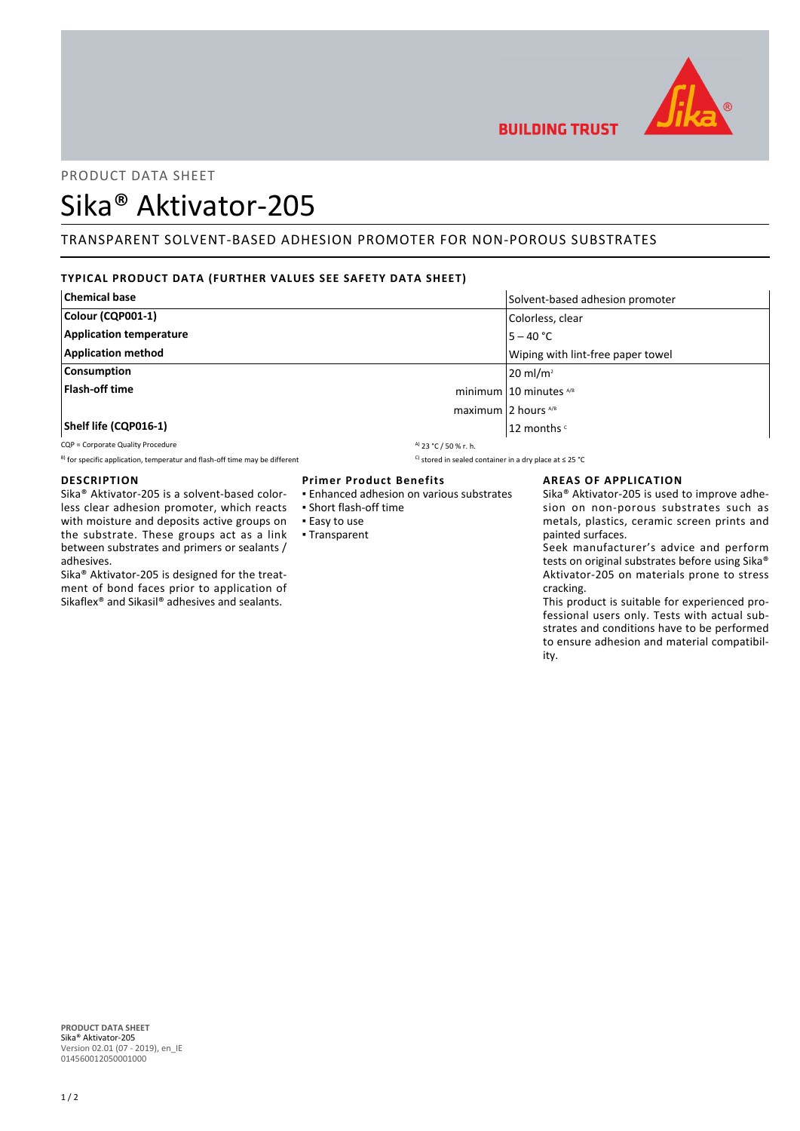

PRODUCT DATA SHEET

# Sika® Aktivator-205

# TRANSPARENT SOLVENT-BASED ADHESION PROMOTER FOR NON-POROUS SUBSTRATES

# **TYPICAL PRODUCT DATA (FURTHER VALUES SEE SAFETY DATA SHEET)**

| <b>Chemical base</b>           | Solvent-based adhesion promoter   |
|--------------------------------|-----------------------------------|
| Colour (CQP001-1)              | Colorless, clear                  |
| <b>Application temperature</b> | $5 - 40 °C$                       |
| <b>Application method</b>      | Wiping with lint-free paper towel |
| Consumption                    | $20 \text{ ml/m}^2$               |
| Flash-off time                 | minimum $ 10$ minutes $A/B$       |
|                                | maximum 2 hours $4/8$             |
| Shelf life (CQP016-1)          | 12 months c                       |

CQP = Corporate Quality Procedure  $\frac{a_1}{2}$  23 °C / 50 % r. h.

B) for specific application, temperatur and flash-off time may be different C) stored in sealed container in a dry place at ≤ 25 °C

### **DESCRIPTION**

Sika® Aktivator-205 is a solvent-based colorless clear adhesion promoter, which reacts with moisture and deposits active groups on the substrate. These groups act as a link between substrates and primers or sealants / adhesives.

Sika® Aktivator-205 is designed for the treatment of bond faces prior to application of Sikaflex® and Sikasil® adhesives and sealants.

#### **Primer Product Benefits**

- Enhanced adhesion on various substrates
- Short flash-off time
- Easy to use
- Transparent

## **AREAS OF APPLICATION**

Sika® Aktivator-205 is used to improve adhesion on non-porous substrates such as metals, plastics, ceramic screen prints and painted surfaces.

Seek manufacturer's advice and perform tests on original substrates before using Sika® Aktivator-205 on materials prone to stress cracking.

This product is suitable for experienced professional users only. Tests with actual substrates and conditions have to be performed to ensure adhesion and material compatibility.

**PRODUCT DATA SHEET** Sika® Aktivator-205 Version 02.01 (07 - 2019), en\_IE 014560012050001000